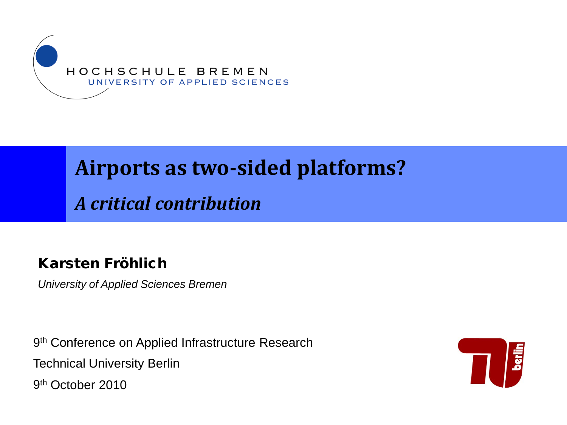

#### **Airports as two-sided platforms?**

*A critical contribution*

#### Karsten Fröhlich

*University of Applied Sciences Bremen*

9<sup>th</sup> Conference on Applied Infrastructure Research Technical University Berlin 9th October 2010

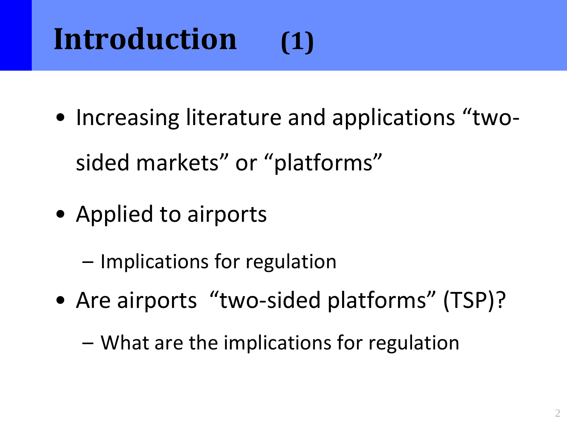# **Introduction (1)**

• Increasing literature and applications "two-

sided markets" or "platforms"

- Applied to airports
	- Implications for regulation
- Are airports "two-sided platforms" (TSP)?
	- What are the implications for regulation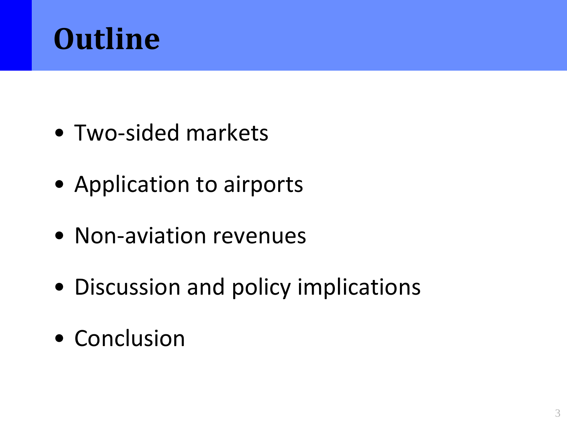

- Two-sided markets
- Application to airports
- Non-aviation revenues
- Discussion and policy implications
- Conclusion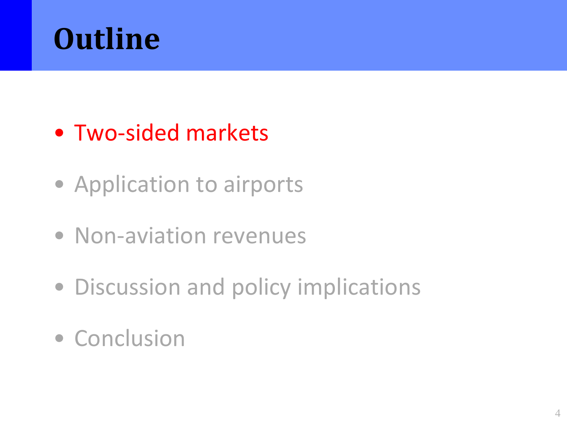

#### • Two-sided markets

- Application to airports
- Non-aviation revenues
- Discussion and policy implications
- Conclusion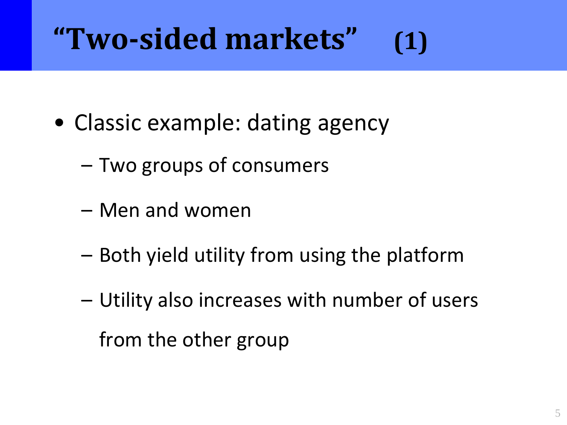# **"Two-sided markets" (1)**

- Classic example: dating agency
	- Two groups of consumers
	- Men and women
	- Both yield utility from using the platform
	- Utility also increases with number of users from the other group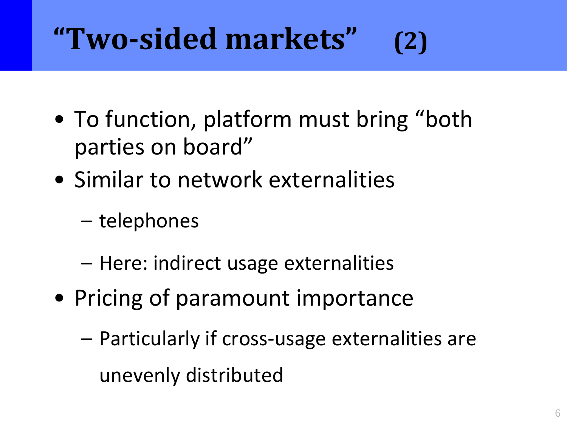# **"Two-sided markets" (2)**

- To function, platform must bring "both parties on board"
- Similar to network externalities
	- telephones
	- Here: indirect usage externalities
- Pricing of paramount importance
	- Particularly if cross-usage externalities are unevenly distributed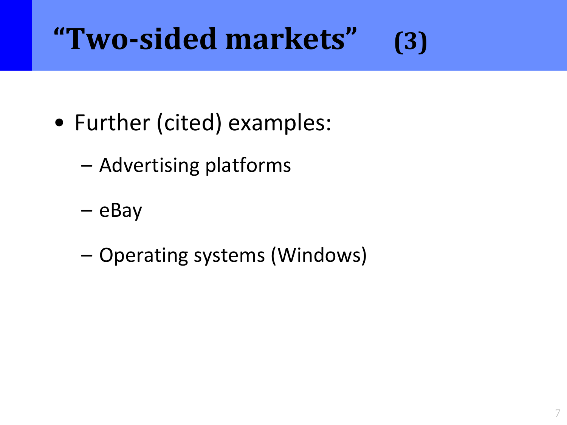# **"Two-sided markets" (3)**

- Further (cited) examples:
	- Advertising platforms
	- eBay
	- Operating systems (Windows)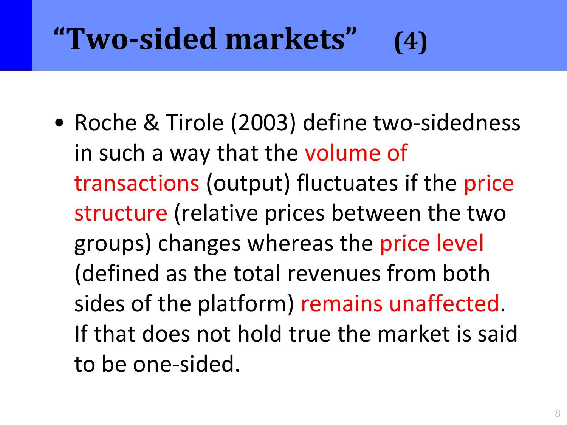# **"Two-sided markets" (4)**

• Roche & Tirole (2003) define two-sidedness in such a way that the volume of transactions (output) fluctuates if the price structure (relative prices between the two groups) changes whereas the price level (defined as the total revenues from both sides of the platform) remains unaffected. If that does not hold true the market is said to be one-sided.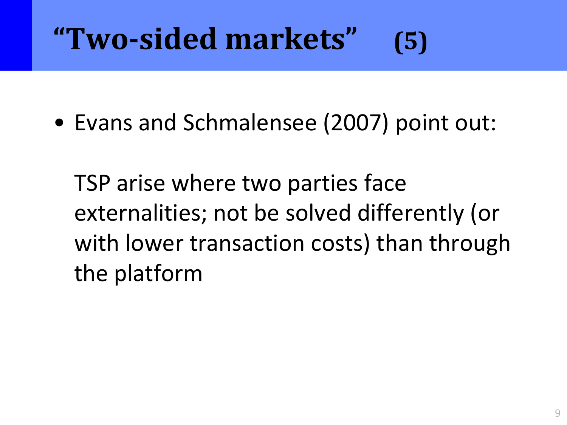# **"Two-sided markets" (5)**

• Evans and Schmalensee (2007) point out:

TSP arise where two parties face externalities; not be solved differently (or with lower transaction costs) than through the platform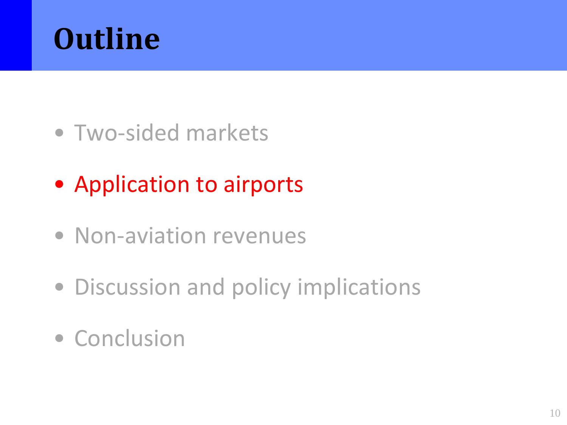

- Two-sided markets
- Application to airports
- Non-aviation revenues
- Discussion and policy implications
- Conclusion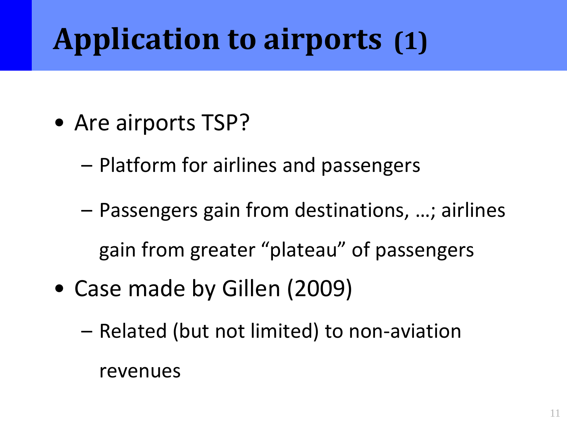## **Application to airports (1)**

- Are airports TSP?
	- Platform for airlines and passengers
	- Passengers gain from destinations, …; airlines gain from greater "plateau" of passengers
- Case made by Gillen (2009)
	- Related (but not limited) to non-aviation

revenues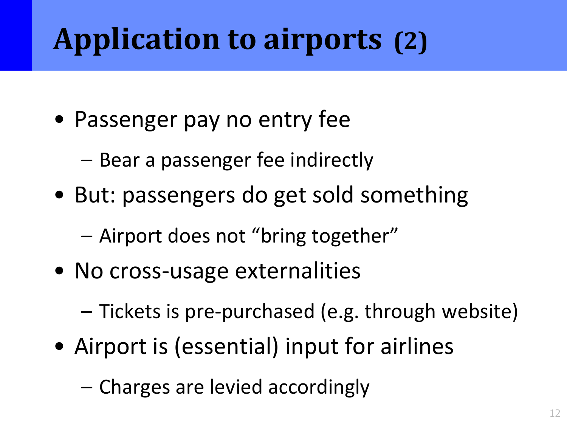## **Application to airports (2)**

- Passenger pay no entry fee
	- Bear a passenger fee indirectly
- But: passengers do get sold something
	- Airport does not "bring together"
- No cross-usage externalities
	- Tickets is pre-purchased (e.g. through website)
- Airport is (essential) input for airlines
	- Charges are levied accordingly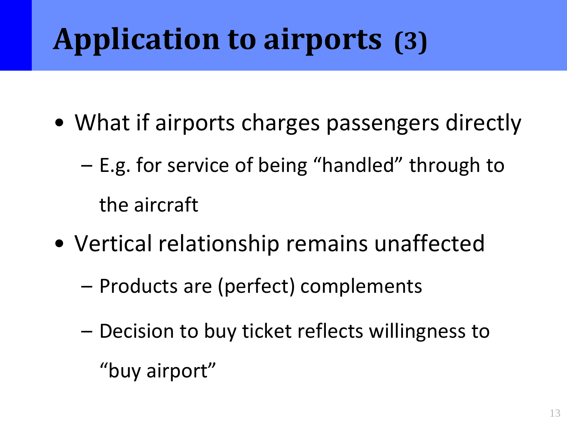# **Application to airports (3)**

- What if airports charges passengers directly
	- E.g. for service of being "handled" through to the aircraft
- Vertical relationship remains unaffected
	- Products are (perfect) complements
	- Decision to buy ticket reflects willingness to

"buy airport"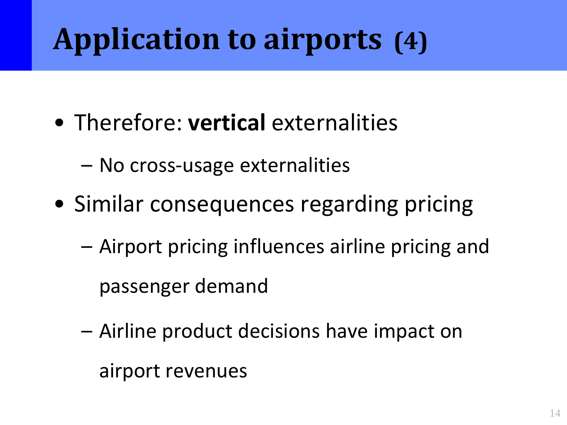# **Application to airports (4)**

- Therefore: **vertical** externalities
	- No cross-usage externalities
- Similar consequences regarding pricing
	- Airport pricing influences airline pricing and passenger demand
	- Airline product decisions have impact on

airport revenues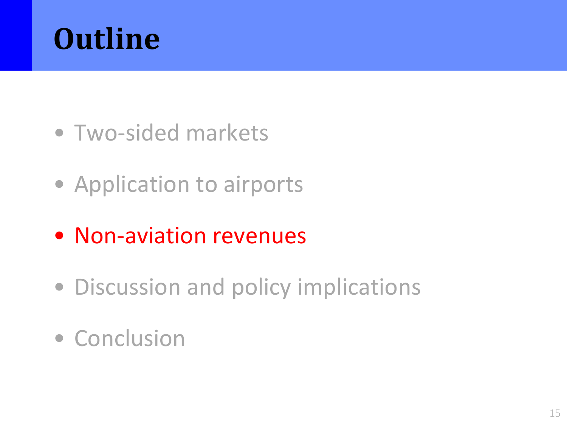

- Two-sided markets
- Application to airports
- Non-aviation revenues
- Discussion and policy implications
- Conclusion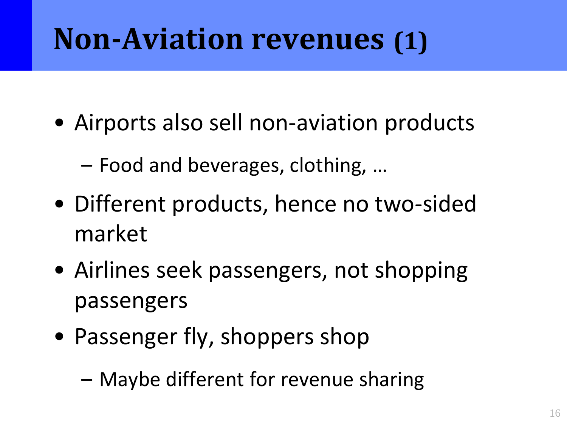#### **Non-Aviation revenues (1)**

- Airports also sell non-aviation products
	- Food and beverages, clothing, …
- Different products, hence no two-sided market
- Airlines seek passengers, not shopping passengers
- Passenger fly, shoppers shop
	- Maybe different for revenue sharing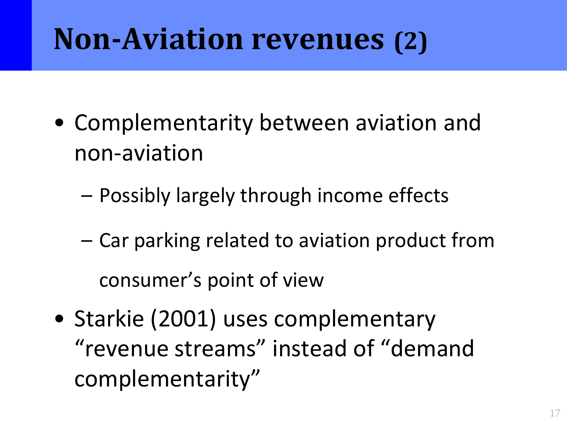#### **Non-Aviation revenues (2)**

- Complementarity between aviation and non-aviation
	- Possibly largely through income effects
	- Car parking related to aviation product from consumer's point of view
- Starkie (2001) uses complementary "revenue streams" instead of "demand complementarity"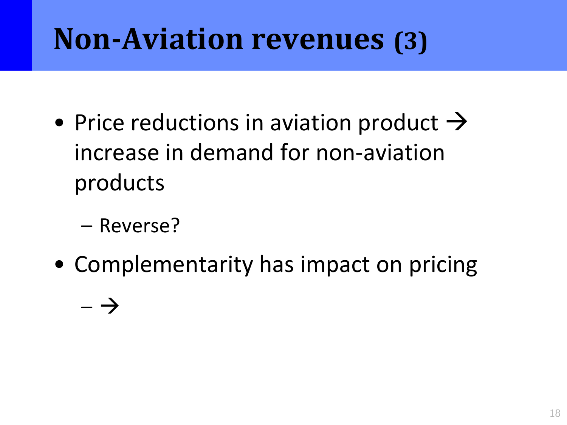#### **Non-Aviation revenues (3)**

- Price reductions in aviation product  $\rightarrow$ increase in demand for non-aviation products
	- Reverse?
- Complementarity has impact on pricing

 $- \rightarrow$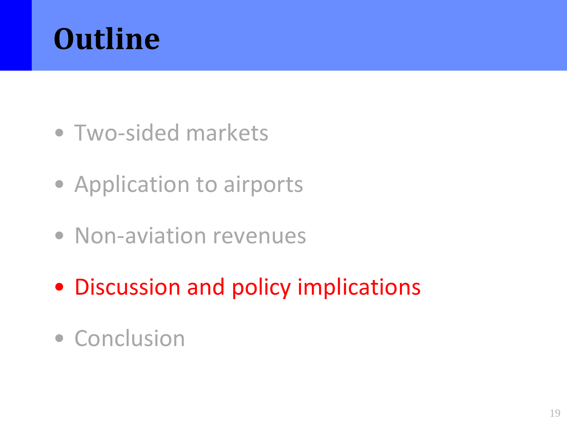

- Two-sided markets
- Application to airports
- Non-aviation revenues
- Discussion and policy implications
- Conclusion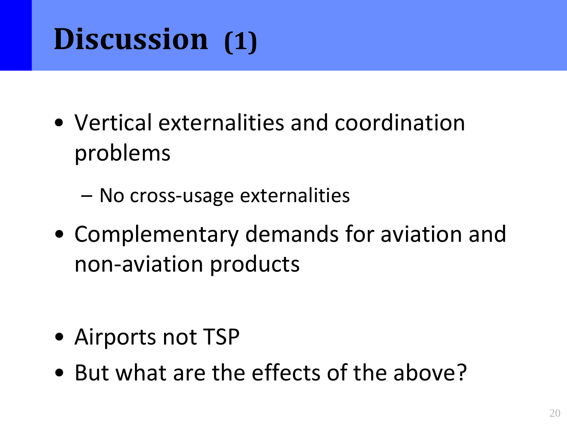## **Discussion (1)**

- Vertical externalities and coordination problems
	- No cross-usage externalities
- Complementary demands for aviation and non-aviation products

- Airports not TSP
- But what are the effects of the above?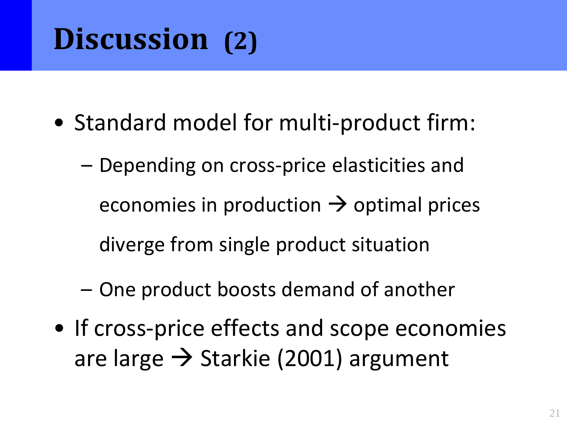#### **Discussion (2)**

- Standard model for multi-product firm:
	- Depending on cross-price elasticities and economies in production  $\rightarrow$  optimal prices diverge from single product situation
	- One product boosts demand of another
- If cross-price effects and scope economies are large  $\rightarrow$  Starkie (2001) argument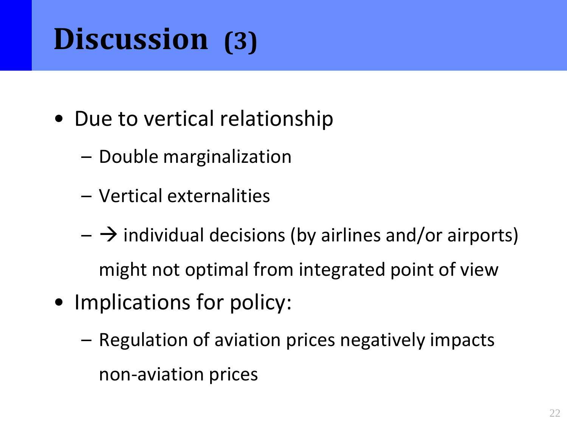### **Discussion (3)**

- Due to vertical relationship
	- Double marginalization
	- Vertical externalities
	- $-\rightarrow$  individual decisions (by airlines and/or airports) might not optimal from integrated point of view
- Implications for policy:
	- Regulation of aviation prices negatively impacts non-aviation prices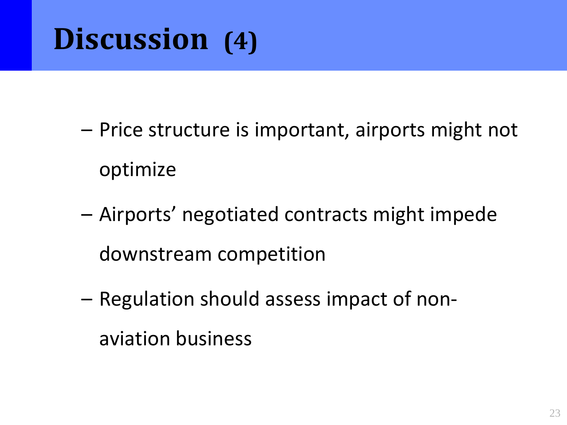#### **Discussion (4)**

- Price structure is important, airports might not optimize
- Airports' negotiated contracts might impede downstream competition
- Regulation should assess impact of nonaviation business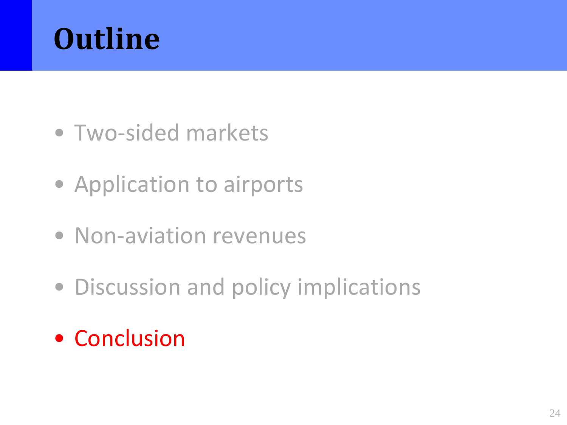

- Two-sided markets
- Application to airports
- Non-aviation revenues
- Discussion and policy implications
- Conclusion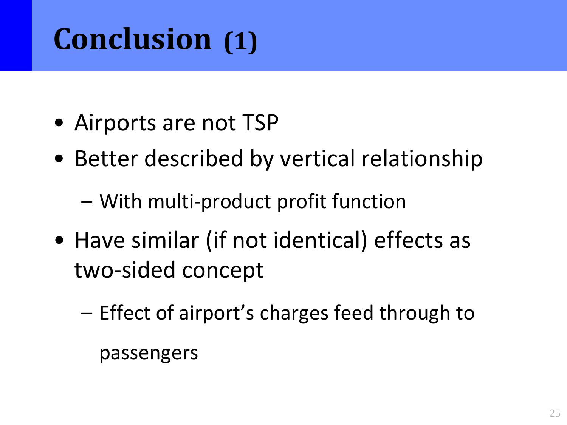## **Conclusion (1)**

- Airports are not TSP
- Better described by vertical relationship
	- With multi-product profit function
- Have similar (if not identical) effects as two-sided concept
	- Effect of airport's charges feed through to passengers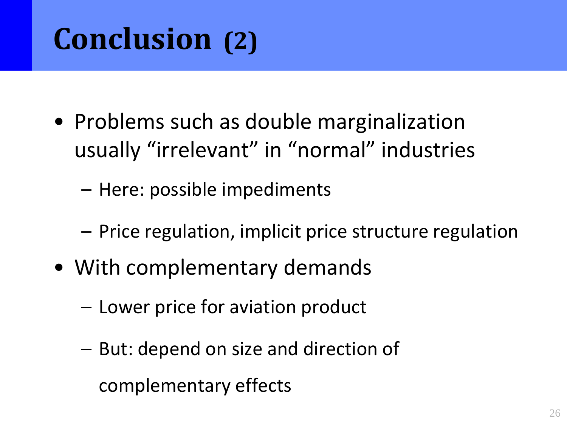## **Conclusion (2)**

- Problems such as double marginalization usually "irrelevant" in "normal" industries
	- Here: possible impediments
	- Price regulation, implicit price structure regulation
- With complementary demands
	- Lower price for aviation product
	- But: depend on size and direction of complementary effects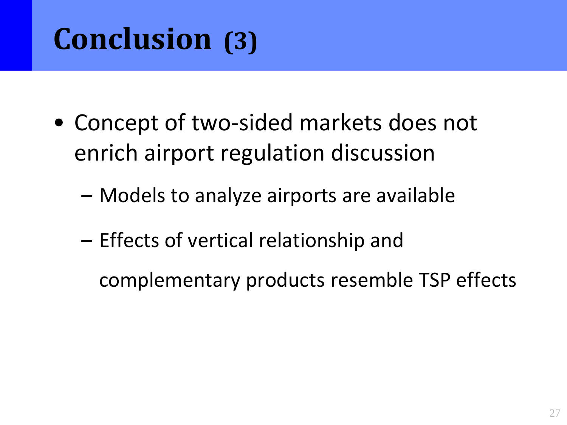### **Conclusion (3)**

- Concept of two-sided markets does not enrich airport regulation discussion
	- Models to analyze airports are available
	- Effects of vertical relationship and

complementary products resemble TSP effects